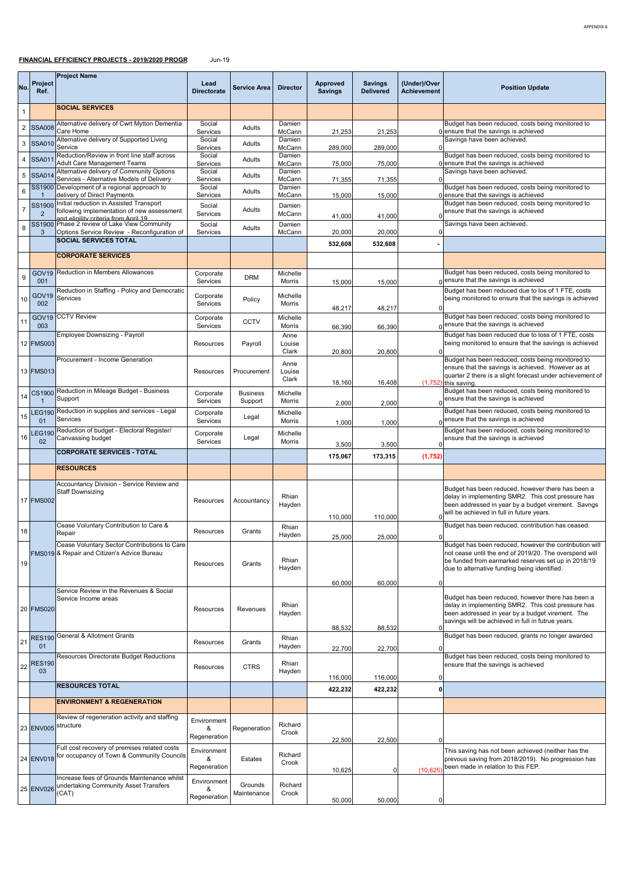## **FINANCIAL EFFICIENCY PROJECTS - 2019/2020 PROGR** Jun-19

| No.              | Project<br>Ref.          | <b>Project Name</b>                                                                         | Lead<br><b>Directorate</b> | <b>Service Area</b>    | <b>Director</b>    | Approved<br><b>Savings</b> | <b>Savings</b><br><b>Delivered</b> | (Under)/Over<br><b>Achievement</b> | <b>Position Update</b>                                                                                        |
|------------------|--------------------------|---------------------------------------------------------------------------------------------|----------------------------|------------------------|--------------------|----------------------------|------------------------------------|------------------------------------|---------------------------------------------------------------------------------------------------------------|
| 1                |                          | <b>SOCIAL SERVICES</b>                                                                      |                            |                        |                    |                            |                                    |                                    |                                                                                                               |
|                  | 2 SSA008                 | Alternative delivery of Cwrt Mytton Dementia                                                | Social                     | Adults                 | Damien             |                            |                                    |                                    | Budget has been reduced, costs being monitored to                                                             |
|                  |                          | Care Home<br>Alternative delivery of Supported Living                                       | Services<br>Social         |                        | McCann<br>Damien   | 21,253                     | 21,253                             |                                    | 0 ensure that the savings is achieved<br>Savings have been achieved.                                          |
| 3                | <b>SSA010</b>            | Service<br>Reduction/Review in front line staff across                                      | Services<br>Social         | Adults                 | McCann<br>Damien   | 289,000                    | 289,000                            | $\mathfrak{c}$                     | Budget has been reduced, costs being monitored to                                                             |
|                  | 4 SSA01                  | Adult Care Management Teams                                                                 | Services                   | Adults                 | McCann             | 75,000                     | 75,000                             |                                    | 0 ensure that the savings is achieved                                                                         |
| 5                | <b>SSA01</b>             | Alternative delivery of Community Options<br>Services - Alternative Models of Delivery      | Social<br>Services         | Adults                 | Damien<br>McCann   | 71,355                     | 71,355                             | $\Omega$                           | Savings have been achieved.                                                                                   |
| 6                |                          | SS1900 Development of a regional approach to<br>delivery of Direct Payments                 | Social<br>Services         | Adults                 | Damien<br>McCann   | 15,000                     | 15,000                             |                                    | Budget has been reduced, costs being monitored to<br>0 ensure that the savings is achieved                    |
|                  | <b>SS1900</b>            | Initial reduction in Assisted Transport                                                     | Social                     |                        | Damien             |                            |                                    |                                    | Budget has been reduced, costs being monitored to                                                             |
| $\boldsymbol{7}$ | $\overline{2}$           | following implementation of new assessment<br>and eligility criteria from Anril 19          | Services                   | Adults                 | McCann             | 41,000                     | 41,000                             | $\Omega$                           | ensure that the savings is achieved                                                                           |
| 8                | 3                        | SS1900 Phase 2 review of Lake View Community<br>Options Service Review - Reconfiguration of | Social<br>Services         | Adults                 | Damien<br>McCann   | 20,000                     | 20,000                             | 0                                  | Savings have been achieved.                                                                                   |
|                  |                          | SOCIAL SERVICES TOTAL                                                                       |                            |                        |                    | 532,608                    | 532,608                            |                                    |                                                                                                               |
|                  |                          | <b>CORPORATE SERVICES</b>                                                                   |                            |                        |                    |                            |                                    |                                    |                                                                                                               |
|                  | GOV <sub>19</sub>        | Reduction in Members Allowances                                                             | Corporate                  |                        | Michelle           |                            |                                    |                                    | Budget has been reduced, costs being monitored to                                                             |
| 9                | 001                      |                                                                                             | Services                   | <b>DRM</b>             | Morris             | 15,000                     | 15,000                             |                                    | $0$ ensure that the savings is achieved                                                                       |
| 10               | GOV <sub>19</sub><br>002 | Reduction in Staffing - Policy and Democratic<br>Services                                   | Corporate<br>Services      | Policy                 | Michelle<br>Morris |                            |                                    |                                    | Budget has been reduced due to los of 1 FTE, costs<br>being monitored to ensure that the savings is achieved  |
|                  |                          | <b>CCTV Review</b>                                                                          |                            |                        |                    | 48,217                     | 48,217                             | $\Omega$                           | Budget has been reduced, costs being monitored to                                                             |
| 11               | GOV <sub>19</sub><br>003 |                                                                                             | Corporate<br>Services      | <b>CCTV</b>            | Michelle<br>Morris | 66,390                     | 66,390                             |                                    | 0 ensure that the savings is achieved                                                                         |
|                  | 12 FMS003                | Employee Downsizing - Payroll                                                               |                            |                        | Anne               |                            |                                    |                                    | Budget has been reduced due to loss of 1 FTE, costs<br>being monitored to ensure that the savings is achieved |
|                  |                          |                                                                                             | Resources                  | Payroll                | Louise<br>Clark    | 20,800                     | 20,800                             | $\Omega$                           |                                                                                                               |
|                  |                          | Procurement - Income Generation                                                             |                            |                        | Anne               |                            |                                    |                                    | Budget has been reduced, costs being monitored to<br>ensure that the savings is achieved. However as at       |
|                  | 13 FMS013                |                                                                                             | Resources                  | Procurement            | Louise<br>Clark    | 18,160                     | 16,408                             |                                    | quarter 2 there is a slight forecast under achievement of<br>$(1,752)$ this saving                            |
|                  | CS1900                   | Reduction in Mileage Budget - Business                                                      | Corporate                  | <b>Business</b>        | Michelle           |                            |                                    |                                    | Budget has been reduced, costs being monitored to                                                             |
| 14               |                          | Support                                                                                     | Services                   | Support                | Morris             | 2,000                      | 2,000                              |                                    | ensure that the savings is achieved                                                                           |
| 15               | <b>LEG190</b><br>01      | Reduction in supplies and services - Legal<br>Services                                      | Corporate<br>Services      | Legal                  | Michelle<br>Morris | 1,000                      | 1,000                              |                                    | Budget has been reduced, costs being monitored to<br>ensure that the savings is achieved                      |
| 16               | <b>EG19</b>              | Reduction of budget - Electoral Register/                                                   | Corporate                  | Legal                  | Michelle           |                            |                                    |                                    | Budget has been reduced, costs being monitored to                                                             |
|                  | 02                       | Canvassing budget<br><b>CORPORATE SERVICES - TOTAL</b>                                      | Services                   |                        | Morris             | 3,500                      | 3,500                              | $\Omega$                           | ensure that the savings is achieved                                                                           |
|                  |                          |                                                                                             |                            |                        |                    | 175,067                    | 173,315                            | (1,752)                            |                                                                                                               |
|                  |                          | <b>RESOURCES</b>                                                                            |                            |                        |                    |                            |                                    |                                    |                                                                                                               |
|                  |                          | Accountancy Division - Service Review and<br><b>Staff Downsizing</b>                        |                            |                        |                    |                            |                                    |                                    | Budget has been reduced, however there has been a                                                             |
|                  | <b>17 FMS002</b>         |                                                                                             | Resources                  | Accountancy            | Rhian<br>Hayden    |                            |                                    |                                    | delay in implementing SMR2. This cost pressure has<br>been addressed in year by a budget virement. Savngs     |
|                  |                          |                                                                                             |                            |                        |                    | 110,000                    | 110,000                            |                                    | will be achieved in full in future years.                                                                     |
| 18               |                          | Cease Voluntary Contribution to Care &<br>Repair                                            | Resources                  | Grants                 | Rhian<br>Hayden    |                            |                                    |                                    | Budget has been reduced, contribution has ceased.                                                             |
|                  |                          | Cease Voluntary Sector Contributions to Care                                                |                            |                        |                    | 25,000                     | 25,000                             | 0                                  | Budget has been reduced, however the contribution will                                                        |
|                  |                          | FMS019 & Repair and Citizen's Advice Bureau                                                 |                            |                        | Rhian              |                            |                                    |                                    | not cease until the end of 2019/20. The overspend will<br>be funded from earmarked reserves set up in 2018/19 |
| 19               |                          |                                                                                             | Resources                  | Grants                 | Hayden             |                            |                                    |                                    | due to alternative funding being identified.                                                                  |
|                  |                          |                                                                                             |                            |                        |                    | 60,000                     | 60,000                             | 0                                  |                                                                                                               |
|                  |                          | Service Review in the Revenues & Social<br>Service Income areas                             |                            |                        |                    |                            |                                    |                                    | Budget has been reduced, however there has been a                                                             |
|                  | 20 FMS020                |                                                                                             | Resources                  | Revenues               | Rhian<br>Hayden    |                            |                                    |                                    | delay in implementing SMR2. This cost pressure has<br>been addressed in year by a budget virement. The        |
|                  |                          |                                                                                             |                            |                        |                    | 88,532                     | 88,532                             | $\Omega$                           | savings will be achieved in full in futrue years.                                                             |
| 21               | <b>RES190</b>            | General & Allotment Grants                                                                  | Resources                  | Grants                 | Rhian              |                            |                                    |                                    | Budget has been reduced, grants no longer awarded.                                                            |
|                  | 01                       | Resources Directorate Budget Reductions                                                     |                            |                        | Hayden             | 22,700                     | 22,700                             | $\mathbf 0$                        | Budget has been reduced, costs being monitored to                                                             |
| 22               | <b>RES190</b><br>03      |                                                                                             | Resources                  | <b>CTRS</b>            | Rhian              |                            |                                    |                                    | ensure that the savings is achieved                                                                           |
|                  |                          |                                                                                             |                            |                        | Hayden             | 116,000                    | 116,000                            | 0                                  |                                                                                                               |
|                  |                          | <b>RESOURCES TOTAL</b>                                                                      |                            |                        |                    | 422,232                    | 422,232                            | 0                                  |                                                                                                               |
|                  |                          | <b>ENVIRONMENT &amp; REGENERATION</b>                                                       |                            |                        |                    |                            |                                    |                                    |                                                                                                               |
|                  |                          | Review of regeneration activity and staffing<br>structure                                   | Environment                |                        | Richard            |                            |                                    |                                    |                                                                                                               |
|                  | 23 ENV005                |                                                                                             | &<br>Regeneration          | Regeneration           | Crook              | 22,500                     | 22,500                             | $\mathbf 0$                        |                                                                                                               |
|                  |                          | Full cost recovery of premises related costs                                                | Environment                |                        |                    |                            |                                    |                                    | This saving has not been achieved (neither has the                                                            |
|                  | 24 ENV018                | for occupancy of Town & Community Councils                                                  | &<br>Regeneration          | Estates                | Richard<br>Crook   |                            |                                    |                                    | prevous saving from 2018/2019). No progression has<br>been made in relation to this FEP.                      |
|                  |                          | Increase fees of Grounds Maintenance whilst                                                 | Environment                |                        |                    | 10,625                     | 0                                  | (10, 625)                          |                                                                                                               |
|                  | 25 ENV026                | undertaking Community Asset Transfers<br>(CAT)                                              | &                          | Grounds<br>Maintenance | Richard<br>Crook   |                            |                                    |                                    |                                                                                                               |
|                  |                          |                                                                                             | Regeneration               |                        |                    | 50,000                     | 50,000                             | 0                                  |                                                                                                               |